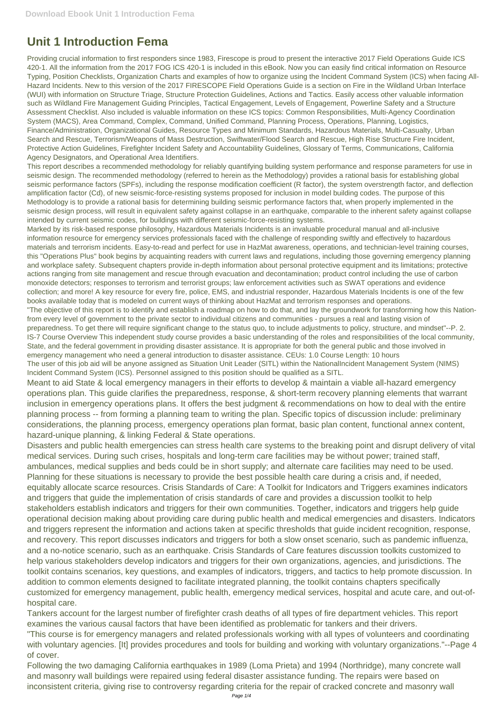## **Unit 1 Introduction Fema**

Providing crucial information to first responders since 1983, Firescope is proud to present the interactive 2017 Field Operations Guide ICS 420-1. All the information from the 2017 FOG ICS 420-1 is included in this eBook. Now you can easily find critical information on Resource Typing, Position Checklists, Organization Charts and examples of how to organize using the Incident Command System (ICS) when facing All-Hazard Incidents. New to this version of the 2017 FIRESCOPE Field Operations Guide is a section on Fire in the Wildland Urban Interface (WUI) with information on Structure Triage, Structure Protection Guidelines, Actions and Tactics. Easily access other valuable information such as Wildland Fire Management Guiding Principles, Tactical Engagement, Levels of Engagement, Powerline Safety and a Structure Assessment Checklist. Also included is valuable information on these ICS topics: Common Responsibilities, Multi-Agency Coordination System (MACS), Area Command, Complex, Command, Unified Command, Planning Process, Operations, Planning, Logistics, Finance/Administration, Organizational Guides, Resource Types and Minimum Standards, Hazardous Materials, Multi-Casualty, Urban Search and Rescue, Terrorism/Weapons of Mass Destruction, Swiftwater/Flood Search and Rescue, High Rise Structure Fire Incident, Protective Action Guidelines, Firefighter Incident Safety and Accountability Guidelines, Glossary of Terms, Communications, California Agency Designators, and Operational Area Identifiers.

This report describes a recommended methodology for reliably quantifying building system performance and response parameters for use in seismic design. The recommended methodology (referred to herein as the Methodology) provides a rational basis for establishing global seismic performance factors (SPFs), including the response modification coefficient (R factor), the system overstrength factor, and deflection amplification factor (Cd), of new seismic-force-resisting systems proposed for inclusion in model building codes. The purpose of this Methodology is to provide a rational basis for determining building seismic performance factors that, when properly implemented in the seismic design process, will result in equivalent safety against collapse in an earthquake, comparable to the inherent safety against collapse intended by current seismic codes, for buildings with different seismic-force-resisting systems.

Marked by its risk-based response philosophy, Hazardous Materials Incidents is an invaluable procedural manual and all-inclusive information resource for emergency services professionals faced with the challenge of responding swiftly and effectively to hazardous materials and terrorism incidents. Easy-to-read and perfect for use in HazMat awareness, operations, and technician-level training courses, this "Operations Plus" book begins by acquainting readers with current laws and regulations, including those governing emergency planning and workplace safety. Subsequent chapters provide in-depth information about personal protective equipment and its limitations; protective actions ranging from site management and rescue through evacuation and decontamination; product control including the use of carbon monoxide detectors; responses to terrorism and terrorist groups; law enforcement activities such as SWAT operations and evidence collection; and more! A key resource for every fire, police, EMS, and industrial responder, Hazardous Materials Incidents is one of the few books available today that is modeled on current ways of thinking about HazMat and terrorism responses and operations. "The objective of this report is to identify and establish a roadmap on how to do that, and lay the groundwork for transforming how this Nationfrom every level of government to the private sector to individual citizens and communities - pursues a real and lasting vision of preparedness. To get there will require significant change to the status quo, to include adjustments to policy, structure, and mindset"--P. 2. IS-7 Course Overview This independent study course provides a basic understanding of the roles and responsibilities of the local community, State, and the federal government in providing disaster assistance. It is appropriate for both the general public and those involved in emergency management who need a general introduction to disaster assistance. CEUs: 1.0 Course Length: 10 hours The user of this job aid will be anyone assigned as Situation Unit Leader (SITL) within the NationalIncident Management System (NIMS)

Incident Command System (ICS). Personnel assigned to this position should be qualified as a SITL.

Meant to aid State & local emergency managers in their efforts to develop & maintain a viable all-hazard emergency operations plan. This guide clarifies the preparedness, response, & short-term recovery planning elements that warrant inclusion in emergency operations plans. It offers the best judgment & recommendations on how to deal with the entire planning process -- from forming a planning team to writing the plan. Specific topics of discussion include: preliminary considerations, the planning process, emergency operations plan format, basic plan content, functional annex content, hazard-unique planning, & linking Federal & State operations.

Disasters and public health emergencies can stress health care systems to the breaking point and disrupt delivery of vital medical services. During such crises, hospitals and long-term care facilities may be without power; trained staff, ambulances, medical supplies and beds could be in short supply; and alternate care facilities may need to be used. Planning for these situations is necessary to provide the best possible health care during a crisis and, if needed, equitably allocate scarce resources. Crisis Standards of Care: A Toolkit for Indicators and Triggers examines indicators and triggers that guide the implementation of crisis standards of care and provides a discussion toolkit to help stakeholders establish indicators and triggers for their own communities. Together, indicators and triggers help guide operational decision making about providing care during public health and medical emergencies and disasters. Indicators and triggers represent the information and actions taken at specific thresholds that guide incident recognition, response, and recovery. This report discusses indicators and triggers for both a slow onset scenario, such as pandemic influenza, and a no-notice scenario, such as an earthquake. Crisis Standards of Care features discussion toolkits customized to help various stakeholders develop indicators and triggers for their own organizations, agencies, and jurisdictions. The toolkit contains scenarios, key questions, and examples of indicators, triggers, and tactics to help promote discussion. In addition to common elements designed to facilitate integrated planning, the toolkit contains chapters specifically customized for emergency management, public health, emergency medical services, hospital and acute care, and out-ofhospital care. Tankers account for the largest number of firefighter crash deaths of all types of fire department vehicles. This report examines the various causal factors that have been identified as problematic for tankers and their drivers. "This course is for emergency managers and related professionals working with all types of volunteers and coordinating with voluntary agencies. [It] provides procedures and tools for building and working with voluntary organizations."--Page 4 of cover. Following the two damaging California earthquakes in 1989 (Loma Prieta) and 1994 (Northridge), many concrete wall and masonry wall buildings were repaired using federal disaster assistance funding. The repairs were based on inconsistent criteria, giving rise to controversy regarding criteria for the repair of cracked concrete and masonry wall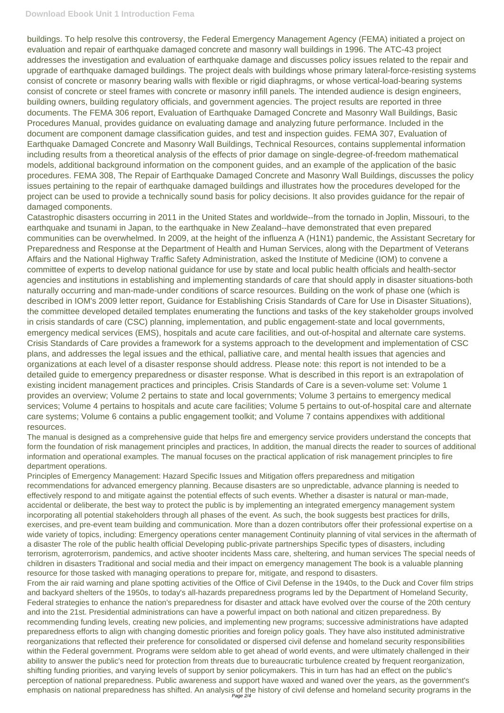buildings. To help resolve this controversy, the Federal Emergency Management Agency (FEMA) initiated a project on evaluation and repair of earthquake damaged concrete and masonry wall buildings in 1996. The ATC-43 project addresses the investigation and evaluation of earthquake damage and discusses policy issues related to the repair and upgrade of earthquake damaged buildings. The project deals with buildings whose primary lateral-force-resisting systems consist of concrete or masonry bearing walls with flexible or rigid diaphragms, or whose vertical-load-bearing systems consist of concrete or steel frames with concrete or masonry infill panels. The intended audience is design engineers, building owners, building regulatory officials, and government agencies. The project results are reported in three documents. The FEMA 306 report, Evaluation of Earthquake Damaged Concrete and Masonry Wall Buildings, Basic Procedures Manual, provides guidance on evaluating damage and analyzing future performance. Included in the document are component damage classification guides, and test and inspection guides. FEMA 307, Evaluation of Earthquake Damaged Concrete and Masonry Wall Buildings, Technical Resources, contains supplemental information including results from a theoretical analysis of the effects of prior damage on single-degree-of-freedom mathematical models, additional background information on the component guides, and an example of the application of the basic procedures. FEMA 308, The Repair of Earthquake Damaged Concrete and Masonry Wall Buildings, discusses the policy issues pertaining to the repair of earthquake damaged buildings and illustrates how the procedures developed for the project can be used to provide a technically sound basis for policy decisions. It also provides guidance for the repair of damaged components.

a disaster The role of the public health official Developing public-private partnerships Specific types of disasters, including terrorism, agroterrorism, pandemics, and active shooter incidents Mass care, sheltering, and human services The special needs of children in disasters Traditional and social media and their impact on emergency management The book is a valuable planning resource for those tasked with managing operations to prepare for, mitigate, and respond to disasters. From the air raid warning and plane spotting activities of the Office of Civil Defense in the 1940s, to the Duck and Cover film strips and backyard shelters of the 1950s, to today's all-hazards preparedness programs led by the Department of Homeland Security, Federal strategies to enhance the nation's preparedness for disaster and attack have evolved over the course of the 20th century and into the 21st. Presidential administrations can have a powerful impact on both national and citizen preparedness. By recommending funding levels, creating new policies, and implementing new programs; successive administrations have adapted preparedness efforts to align with changing domestic priorities and foreign policy goals. They have also instituted administrative reorganizations that reflected their preference for consolidated or dispersed civil defense and homeland security responsibilities within the Federal government. Programs were seldom able to get ahead of world events, and were ultimately challenged in their ability to answer the public's need for protection from threats due to bureaucratic turbulence created by frequent reorganization, shifting funding priorities, and varying levels of support by senior policymakers. This in turn has had an effect on the public's perception of national preparedness. Public awareness and support have waxed and waned over the years, as the government's emphasis on national preparedness has shifted. An analysis of the history of civil defense and homeland security programs in the<br>Page 2/4

Catastrophic disasters occurring in 2011 in the United States and worldwide--from the tornado in Joplin, Missouri, to the earthquake and tsunami in Japan, to the earthquake in New Zealand--have demonstrated that even prepared communities can be overwhelmed. In 2009, at the height of the influenza A (H1N1) pandemic, the Assistant Secretary for Preparedness and Response at the Department of Health and Human Services, along with the Department of Veterans Affairs and the National Highway Traffic Safety Administration, asked the Institute of Medicine (IOM) to convene a committee of experts to develop national guidance for use by state and local public health officials and health-sector agencies and institutions in establishing and implementing standards of care that should apply in disaster situations-both naturally occurring and man-made-under conditions of scarce resources. Building on the work of phase one (which is described in IOM's 2009 letter report, Guidance for Establishing Crisis Standards of Care for Use in Disaster Situations), the committee developed detailed templates enumerating the functions and tasks of the key stakeholder groups involved in crisis standards of care (CSC) planning, implementation, and public engagement-state and local governments, emergency medical services (EMS), hospitals and acute care facilities, and out-of-hospital and alternate care systems. Crisis Standards of Care provides a framework for a systems approach to the development and implementation of CSC plans, and addresses the legal issues and the ethical, palliative care, and mental health issues that agencies and organizations at each level of a disaster response should address. Please note: this report is not intended to be a detailed guide to emergency preparedness or disaster response. What is described in this report is an extrapolation of existing incident management practices and principles. Crisis Standards of Care is a seven-volume set: Volume 1 provides an overview; Volume 2 pertains to state and local governments; Volume 3 pertains to emergency medical services; Volume 4 pertains to hospitals and acute care facilities; Volume 5 pertains to out-of-hospital care and alternate care systems; Volume 6 contains a public engagement toolkit; and Volume 7 contains appendixes with additional resources.

The manual is designed as a comprehensive guide that helps fire and emergency service providers understand the concepts that form the foundation of risk management principles and practices, In addition, the manual directs the reader to sources of additional information and operational examples. The manual focuses on the practical application of risk management principles to fire department operations.

Principles of Emergency Management: Hazard Specific Issues and Mitigation offers preparedness and mitigation recommendations for advanced emergency planning. Because disasters are so unpredictable, advance planning is needed to effectively respond to and mitigate against the potential effects of such events. Whether a disaster is natural or man-made, accidental or deliberate, the best way to protect the public is by implementing an integrated emergency management system incorporating all potential stakeholders through all phases of the event. As such, the book suggests best practices for drills, exercises, and pre-event team building and communication. More than a dozen contributors offer their professional expertise on a wide variety of topics, including: Emergency operations center management Continuity planning of vital services in the aftermath of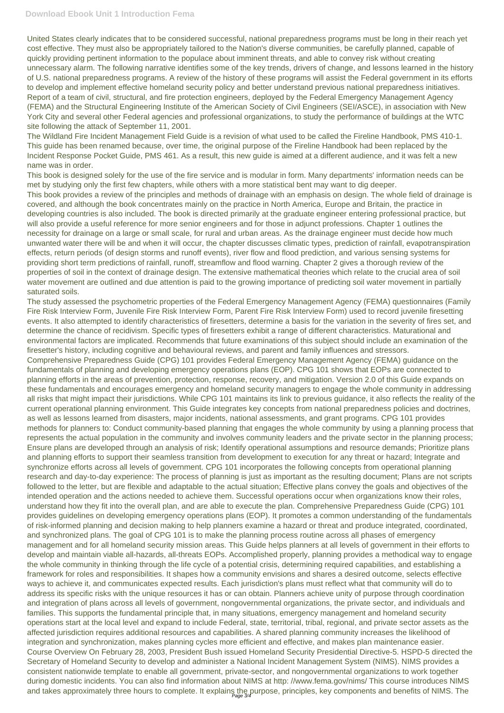United States clearly indicates that to be considered successful, national preparedness programs must be long in their reach yet cost effective. They must also be appropriately tailored to the Nation's diverse communities, be carefully planned, capable of quickly providing pertinent information to the populace about imminent threats, and able to convey risk without creating unnecessary alarm. The following narrative identifies some of the key trends, drivers of change, and lessons learned in the history of U.S. national preparedness programs. A review of the history of these programs will assist the Federal government in its efforts to develop and implement effective homeland security policy and better understand previous national preparedness initiatives. Report of a team of civil, structural, and fire protection engineers, deployed by the Federal Emergency Management Agency (FEMA) and the Structural Engineering Institute of the American Society of Civil Engineers (SEI/ASCE), in association with New York City and several other Federal agencies and professional organizations, to study the performance of buildings at the WTC site following the attack of September 11, 2001.

The Wildland Fire Incident Management Field Guide is a revision of what used to be called the Fireline Handbook, PMS 410-1. This guide has been renamed because, over time, the original purpose of the Fireline Handbook had been replaced by the Incident Response Pocket Guide, PMS 461. As a result, this new guide is aimed at a different audience, and it was felt a new name was in order.

This book is designed solely for the use of the fire service and is modular in form. Many departments' information needs can be met by studying only the first few chapters, while others with a more statistical bent may want to dig deeper.

Comprehensive Preparedness Guide (CPG) 101 provides Federal Emergency Management Agency (FEMA) guidance on the fundamentals of planning and developing emergency operations plans (EOP). CPG 101 shows that EOPs are connected to planning efforts in the areas of prevention, protection, response, recovery, and mitigation. Version 2.0 of this Guide expands on these fundamentals and encourages emergency and homeland security managers to engage the whole community in addressing all risks that might impact their jurisdictions. While CPG 101 maintains its link to previous guidance, it also reflects the reality of the current operational planning environment. This Guide integrates key concepts from national preparedness policies and doctrines, as well as lessons learned from disasters, major incidents, national assessments, and grant programs. CPG 101 provides methods for planners to: Conduct community-based planning that engages the whole community by using a planning process that represents the actual population in the community and involves community leaders and the private sector in the planning process; Ensure plans are developed through an analysis of risk; Identify operational assumptions and resource demands; Prioritize plans and planning efforts to support their seamless transition from development to execution for any threat or hazard; Integrate and synchronize efforts across all levels of government. CPG 101 incorporates the following concepts from operational planning research and day-to-day experience: The process of planning is just as important as the resulting document; Plans are not scripts followed to the letter, but are flexible and adaptable to the actual situation; Effective plans convey the goals and objectives of the intended operation and the actions needed to achieve them. Successful operations occur when organizations know their roles, understand how they fit into the overall plan, and are able to execute the plan. Comprehensive Preparedness Guide (CPG) 101 provides guidelines on developing emergency operations plans (EOP). It promotes a common understanding of the fundamentals of risk-informed planning and decision making to help planners examine a hazard or threat and produce integrated, coordinated, and synchronized plans. The goal of CPG 101 is to make the planning process routine across all phases of emergency management and for all homeland security mission areas. This Guide helps planners at all levels of government in their efforts to develop and maintain viable all-hazards, all-threats EOPs. Accomplished properly, planning provides a methodical way to engage the whole community in thinking through the life cycle of a potential crisis, determining required capabilities, and establishing a framework for roles and responsibilities. It shapes how a community envisions and shares a desired outcome, selects effective ways to achieve it, and communicates expected results. Each jurisdiction's plans must reflect what that community will do to address its specific risks with the unique resources it has or can obtain. Planners achieve unity of purpose through coordination and integration of plans across all levels of government, nongovernmental organizations, the private sector, and individuals and families. This supports the fundamental principle that, in many situations, emergency management and homeland security operations start at the local level and expand to include Federal, state, territorial, tribal, regional, and private sector assets as the affected jurisdiction requires additional resources and capabilities. A shared planning community increases the likelihood of integration and synchronization, makes planning cycles more efficient and effective, and makes plan maintenance easier. Course Overview On February 28, 2003, President Bush issued Homeland Security Presidential Directive-5. HSPD-5 directed the Secretary of Homeland Security to develop and administer a National Incident Management System (NIMS). NIMS provides a consistent nationwide template to enable all government, private-sector, and nongovernmental organizations to work together during domestic incidents. You can also find information about NIMS at http: //www.fema.gov/nims/ This course introduces NIMS and takes approximately three hours to complete. It explains the purpose, principles, key components and benefits of NIMS. The

This book provides a review of the principles and methods of drainage with an emphasis on design. The whole field of drainage is covered, and although the book concentrates mainly on the practice in North America, Europe and Britain, the practice in developing countries is also included. The book is directed primarily at the graduate engineer entering professional practice, but will also provide a useful reference for more senior engineers and for those in adjunct professions. Chapter 1 outlines the necessity for drainage on a large or small scale, for rural and urban areas. As the drainage engineer must decide how much unwanted water there will be and when it will occur, the chapter discusses climatic types, prediction of rainfall, evapotranspiration effects, return periods (of design storms and runoff events), river flow and flood prediction, and various sensing systems for providing short term predictions of rainfall, runoff, streamflow and flood warning. Chapter 2 gives a thorough review of the properties of soil in the context of drainage design. The extensive mathematical theories which relate to the crucial area of soil water movement are outlined and due attention is paid to the growing importance of predicting soil water movement in partially saturated soils.

The study assessed the psychometric properties of the Federal Emergency Management Agency (FEMA) questionnaires (Family Fire Risk Interview Form, Juvenile Fire Risk Interview Form, Parent Fire Risk Interview Form) used to record juvenile firesetting events. It also attempted to identify characteristics of firesetters, determine a basis for the variation in the severity of fires set, and determine the chance of recidivism. Specific types of firesetters exhibit a range of different characteristics. Maturational and environmental factors are implicated. Recommends that future examinations of this subject should include an examination of the firesetter's history, including cognitive and behavioural reviews, and parent and family influences and stressors.